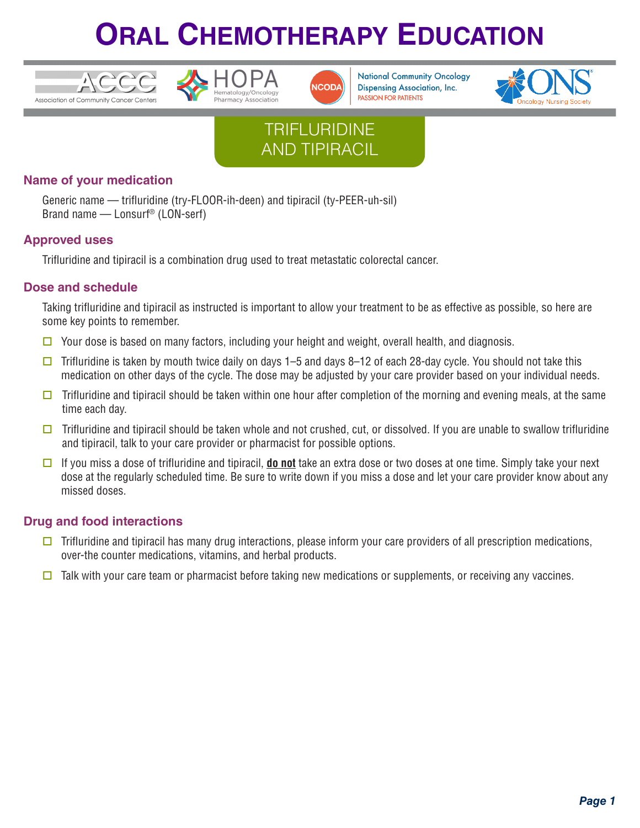





**National Community Oncology Dispensing Association, Inc. PASSION FOR PATIENTS** 



## **TRIFLURIDINE** AND TIPIRACIL

### **Name of your medication**

Generic name — trifluridine (try-FLOOR-ih-deen) and tipiracil (ty-PEER-uh-sil) Brand name — Lonsurf® (LON-serf)

#### **Approved uses**

Trifluridine and tipiracil is a combination drug used to treat metastatic colorectal cancer.

### **Dose and schedule**

Taking trifluridine and tipiracil as instructed is important to allow your treatment to be as effective as possible, so here are some key points to remember.

- $\Box$  Your dose is based on many factors, including your height and weight, overall health, and diagnosis.
- $\Box$  Trifluridine is taken by mouth twice daily on days 1–5 and days 8–12 of each 28-day cycle. You should not take this medication on other days of the cycle. The dose may be adjusted by your care provider based on your individual needs.
- $\Box$  Trifluridine and tipiracil should be taken within one hour after completion of the morning and evening meals, at the same time each day.
- $\Box$  Trifluridine and tipiracil should be taken whole and not crushed, cut, or dissolved. If you are unable to swallow trifluridine and tipiracil, talk to your care provider or pharmacist for possible options.
- o If you miss a dose of trifluridine and tipiracil, **do not** take an extra dose or two doses at one time. Simply take your next dose at the regularly scheduled time. Be sure to write down if you miss a dose and let your care provider know about any missed doses.

### **Drug and food interactions**

- $\Box$  Trifluridine and tipiracil has many drug interactions, please inform your care providers of all prescription medications, over-the counter medications, vitamins, and herbal products.
- $\Box$  Talk with your care team or pharmacist before taking new medications or supplements, or receiving any vaccines.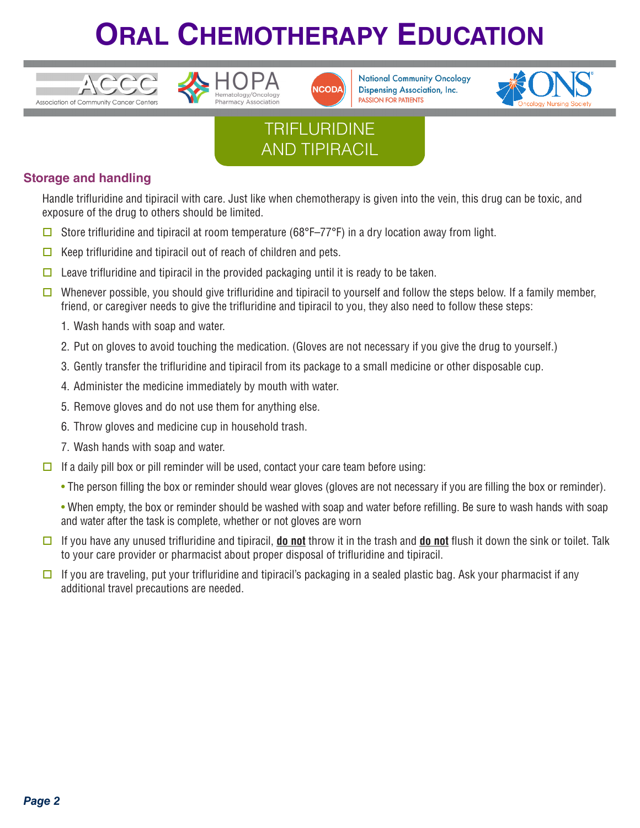





**National Community Oncology Dispensing Association, Inc. PASSION FOR PATIENTS** 



## **TRIFLURIDINE** AND TIPIRACIL

### **Storage and handling**

Handle trifluridine and tipiracil with care. Just like when chemotherapy is given into the vein, this drug can be toxic, and exposure of the drug to others should be limited.

- G Store trifluridine and tipiracil at room temperature (68°F–77°F) in a dry location away from light.
- $\Box$  Keep trifluridine and tipiracil out of reach of children and pets.
- $\Box$  Leave trifluridine and tipiracil in the provided packaging until it is ready to be taken.
- **D** Whenever possible, you should give trifluridine and tipiracil to yourself and follow the steps below. If a family member, friend, or caregiver needs to give the trifluridine and tipiracil to you, they also need to follow these steps:
	- 1. Wash hands with soap and water.
	- 2. Put on gloves to avoid touching the medication. (Gloves are not necessary if you give the drug to yourself.)
	- 3. Gently transfer the trifluridine and tipiracil from its package to a small medicine or other disposable cup.
	- 4. Administer the medicine immediately by mouth with water.
	- 5. Remove gloves and do not use them for anything else.
	- 6. Throw gloves and medicine cup in household trash.
	- 7. Wash hands with soap and water.
- $\Box$  If a daily pill box or pill reminder will be used, contact your care team before using:
	- The person filling the box or reminder should wear gloves (gloves are not necessary if you are filling the box or reminder).

• When empty, the box or reminder should be washed with soap and water before refilling. Be sure to wash hands with soap and water after the task is complete, whether or not gloves are worn

- $\Box$  If you have any unused trifluridine and tipiracil, **do not** throw it in the trash and **do not** flush it down the sink or toilet. Talk to your care provider or pharmacist about proper disposal of trifluridine and tipiracil.
- $\square$  If you are traveling, put your trifluridine and tipiracil's packaging in a sealed plastic bag. Ask your pharmacist if any additional travel precautions are needed.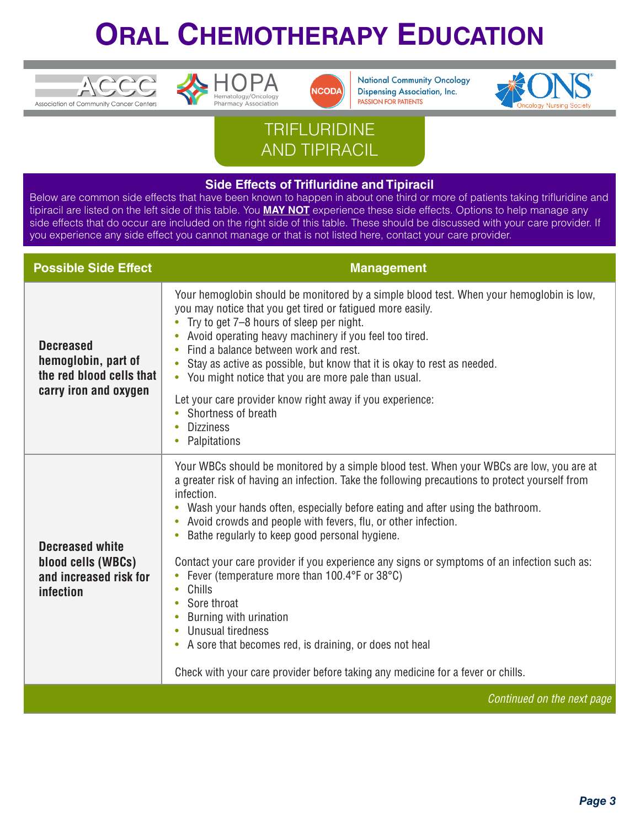





**National Community Oncology Dispensing Association, Inc. PASSION FOR PATIENTS** 



## **TRIFLURIDINE** AND TIPIRACIL

#### **Side Effects of Trifluridine and Tipiracil**

Below are common side effects that have been known to happen in about one third or more of patients taking trifluridine and tipiracil are listed on the left side of this table. You **MAY NOT** experience these side effects. Options to help manage any side effects that do occur are included on the right side of this table. These should be discussed with your care provider. If you experience any side effect you cannot manage or that is not listed here, contact your care provider.

| <b>Possible Side Effect</b>                                                                  | <b>Management</b>                                                                                                                                                                                                                                                                                                                                                                                                                                                                                                                                                                                                                                                                                                                                                                                             |
|----------------------------------------------------------------------------------------------|---------------------------------------------------------------------------------------------------------------------------------------------------------------------------------------------------------------------------------------------------------------------------------------------------------------------------------------------------------------------------------------------------------------------------------------------------------------------------------------------------------------------------------------------------------------------------------------------------------------------------------------------------------------------------------------------------------------------------------------------------------------------------------------------------------------|
| <b>Decreased</b><br>hemoglobin, part of<br>the red blood cells that<br>carry iron and oxygen | Your hemoglobin should be monitored by a simple blood test. When your hemoglobin is low,<br>you may notice that you get tired or fatigued more easily.<br>Try to get 7-8 hours of sleep per night.<br>Avoid operating heavy machinery if you feel too tired.<br>Find a balance between work and rest.<br>Stay as active as possible, but know that it is okay to rest as needed.<br>• You might notice that you are more pale than usual.<br>Let your care provider know right away if you experience:<br>Shortness of breath<br>$\bullet$<br><b>Dizziness</b><br>Palpitations                                                                                                                                                                                                                                |
| <b>Decreased white</b><br>blood cells (WBCs)<br>and increased risk for<br>infection          | Your WBCs should be monitored by a simple blood test. When your WBCs are low, you are at<br>a greater risk of having an infection. Take the following precautions to protect yourself from<br>infection.<br>Wash your hands often, especially before eating and after using the bathroom.<br>Avoid crowds and people with fevers, flu, or other infection.<br>Bathe regularly to keep good personal hygiene.<br>$\bullet$<br>Contact your care provider if you experience any signs or symptoms of an infection such as:<br>Fever (temperature more than 100.4°F or 38°C)<br>Chills<br>$\bullet$<br>• Sore throat<br>Burning with urination<br>Unusual tiredness<br>A sore that becomes red, is draining, or does not heal<br>Check with your care provider before taking any medicine for a fever or chills. |
|                                                                                              | Continued on the next page                                                                                                                                                                                                                                                                                                                                                                                                                                                                                                                                                                                                                                                                                                                                                                                    |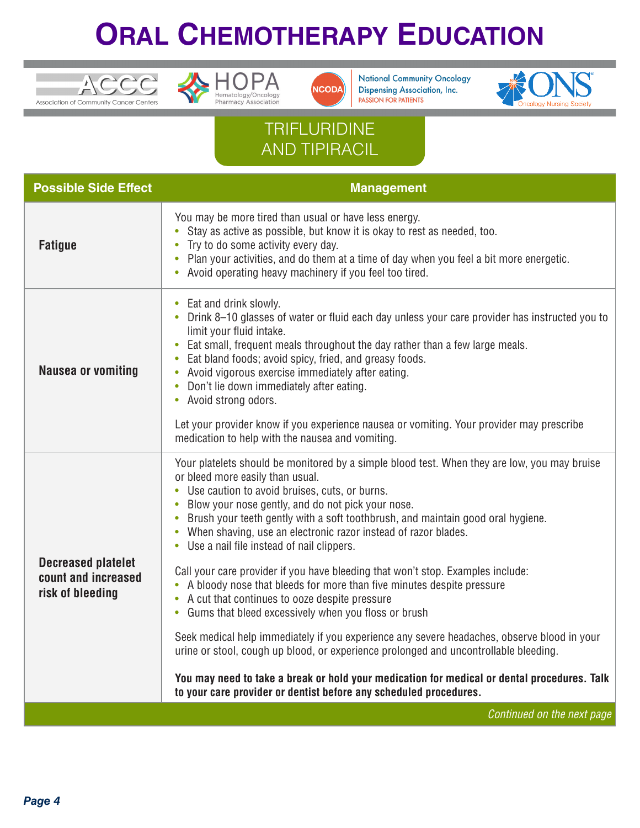





**National Community Oncology Dispensing Association, Inc.** PASSION FOR PATIENTS



## **TRIFLURIDINE** AND TIPIRACIL

| <b>Possible Side Effect</b>                                          | <b>Management</b>                                                                                                                                                                                                                                                                                                                                                                                                                                                                                                                                                                                                         |
|----------------------------------------------------------------------|---------------------------------------------------------------------------------------------------------------------------------------------------------------------------------------------------------------------------------------------------------------------------------------------------------------------------------------------------------------------------------------------------------------------------------------------------------------------------------------------------------------------------------------------------------------------------------------------------------------------------|
| <b>Fatigue</b>                                                       | You may be more tired than usual or have less energy.<br>Stay as active as possible, but know it is okay to rest as needed, too.<br>Try to do some activity every day.<br>$\bullet$<br>Plan your activities, and do them at a time of day when you feel a bit more energetic.<br>• Avoid operating heavy machinery if you feel too tired.                                                                                                                                                                                                                                                                                 |
| <b>Nausea or vomiting</b>                                            | • Eat and drink slowly.<br>• Drink 8-10 glasses of water or fluid each day unless your care provider has instructed you to<br>limit your fluid intake.<br>• Eat small, frequent meals throughout the day rather than a few large meals.<br>Eat bland foods; avoid spicy, fried, and greasy foods.<br>$\bullet$<br>Avoid vigorous exercise immediately after eating.<br>$\bullet$<br>Don't lie down immediately after eating.<br>$\bullet$<br>• Avoid strong odors.                                                                                                                                                        |
|                                                                      | Let your provider know if you experience nausea or vomiting. Your provider may prescribe<br>medication to help with the nausea and vomiting.                                                                                                                                                                                                                                                                                                                                                                                                                                                                              |
| <b>Decreased platelet</b><br>count and increased<br>risk of bleeding | Your platelets should be monitored by a simple blood test. When they are low, you may bruise<br>or bleed more easily than usual.<br>• Use caution to avoid bruises, cuts, or burns.<br>Blow your nose gently, and do not pick your nose.<br>$\bullet$<br>Brush your teeth gently with a soft toothbrush, and maintain good oral hygiene.<br>• When shaving, use an electronic razor instead of razor blades.<br>• Use a nail file instead of nail clippers.<br>Call your care provider if you have bleeding that won't stop. Examples include:<br>• A bloody nose that bleeds for more than five minutes despite pressure |
|                                                                      | • A cut that continues to ooze despite pressure<br>• Gums that bleed excessively when you floss or brush                                                                                                                                                                                                                                                                                                                                                                                                                                                                                                                  |
|                                                                      | Seek medical help immediately if you experience any severe headaches, observe blood in your<br>urine or stool, cough up blood, or experience prolonged and uncontrollable bleeding.                                                                                                                                                                                                                                                                                                                                                                                                                                       |
|                                                                      | You may need to take a break or hold your medication for medical or dental procedures. Talk<br>to your care provider or dentist before any scheduled procedures.                                                                                                                                                                                                                                                                                                                                                                                                                                                          |
|                                                                      | Continued on the next page                                                                                                                                                                                                                                                                                                                                                                                                                                                                                                                                                                                                |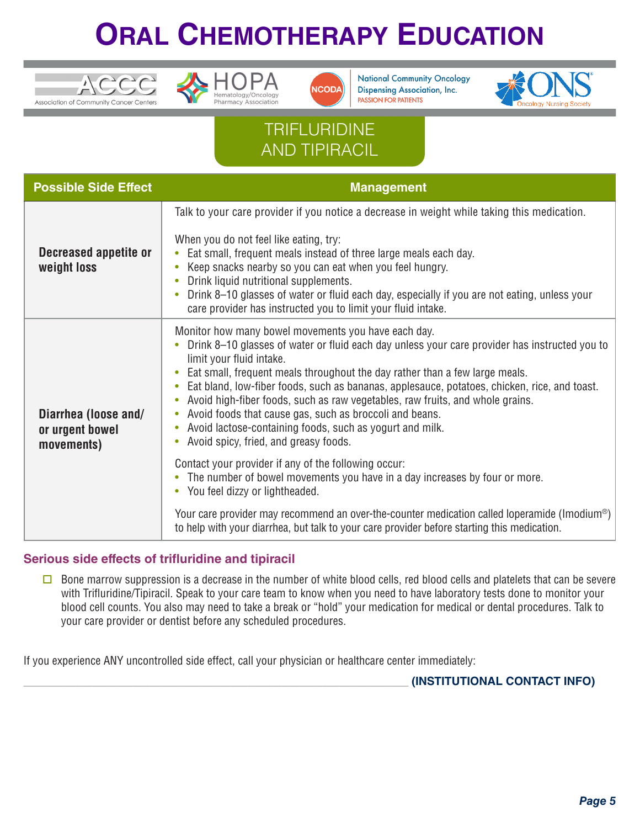





**National Community Oncology Dispensing Association, Inc. PASSION FOR PATIENTS** 



## **TRIFLURIDINE** AND TIPIRACIL

| <b>Possible Side Effect</b>                           | <b>Management</b>                                                                                                                                                                                                                                                                                                                                                                                                                                                                                                                                                                                                                          |
|-------------------------------------------------------|--------------------------------------------------------------------------------------------------------------------------------------------------------------------------------------------------------------------------------------------------------------------------------------------------------------------------------------------------------------------------------------------------------------------------------------------------------------------------------------------------------------------------------------------------------------------------------------------------------------------------------------------|
| Decreased appetite or<br>weight loss                  | Talk to your care provider if you notice a decrease in weight while taking this medication.<br>When you do not feel like eating, try:<br>Eat small, frequent meals instead of three large meals each day.<br>Keep snacks nearby so you can eat when you feel hungry.<br>Drink liquid nutritional supplements.<br>Drink 8-10 glasses of water or fluid each day, especially if you are not eating, unless your<br>care provider has instructed you to limit your fluid intake.                                                                                                                                                              |
| Diarrhea (loose and/<br>or urgent bowel<br>movements) | Monitor how many bowel movements you have each day.<br>Drink 8–10 glasses of water or fluid each day unless your care provider has instructed you to<br>limit your fluid intake.<br>Eat small, frequent meals throughout the day rather than a few large meals.<br>Eat bland, low-fiber foods, such as bananas, applesauce, potatoes, chicken, rice, and toast.<br>Avoid high-fiber foods, such as raw vegetables, raw fruits, and whole grains.<br>Avoid foods that cause gas, such as broccoli and beans.<br>$\bullet$<br>Avoid lactose-containing foods, such as yogurt and milk.<br>$\bullet$<br>Avoid spicy, fried, and greasy foods. |
|                                                       | Contact your provider if any of the following occur:<br>• The number of bowel movements you have in a day increases by four or more.<br>• You feel dizzy or lightheaded.<br>Your care provider may recommend an over-the-counter medication called loperamide (Imodium®)                                                                                                                                                                                                                                                                                                                                                                   |
|                                                       | to help with your diarrhea, but talk to your care provider before starting this medication.                                                                                                                                                                                                                                                                                                                                                                                                                                                                                                                                                |

### **Serious side effects of trifluridine and tipiracil**

 $\square$  Bone marrow suppression is a decrease in the number of white blood cells, red blood cells and platelets that can be severe with Trifluridine/Tipiracil. Speak to your care team to know when you need to have laboratory tests done to monitor your blood cell counts. You also may need to take a break or "hold" your medication for medical or dental procedures. Talk to your care provider or dentist before any scheduled procedures.

If you experience ANY uncontrolled side effect, call your physician or healthcare center immediately:

\_\_\_\_\_\_\_\_\_\_\_\_\_\_\_\_\_\_\_\_\_\_\_\_\_\_\_\_\_\_\_\_\_\_\_\_\_\_\_\_\_\_\_\_\_\_\_\_\_\_\_\_\_\_\_\_\_\_\_\_\_\_\_\_\_\_\_ **(INSTITUTIONAL CONTACT INFO)**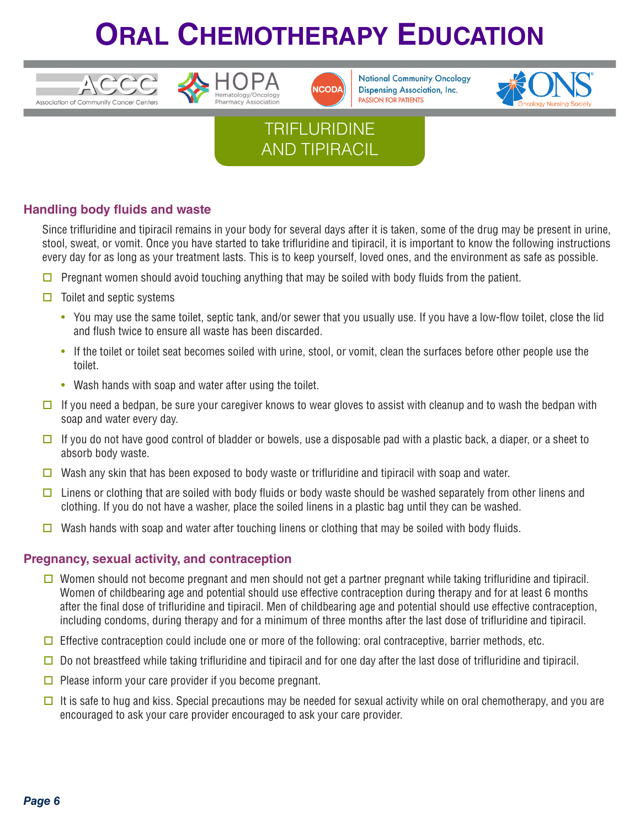





**National Community Oncology Dispensing Association, Inc. PASSION FOR PATIENTS** 



## **TRIFLURIDINE** AND TIPIRACIL

### **Handling body fluids and waste**

Since trifluridine and tipiracil remains in your body for several days after it is taken, some of the drug may be present in urine, stool, sweat, or vomit. Once you have started to take trifluridine and tipiracil, it is important to know the following instructions every day for as long as your treatment lasts. This is to keep yourself, loved ones, and the environment as safe as possible.

- $\Box$  Pregnant women should avoid touching anything that may be soiled with body fluids from the patient.
- $\Box$  Toilet and septic systems
	- You may use the same toilet, septic tank, and/or sewer that you usually use. If you have a low-flow toilet, close the lid and flush twice to ensure all waste has been discarded.
	- If the toilet or toilet seat becomes soiled with urine, stool, or vomit, clean the surfaces before other people use the toilet.
	- Wash hands with soap and water after using the toilet.
- $\Box$  If you need a bedpan, be sure your caregiver knows to wear gloves to assist with cleanup and to wash the bedpan with soap and water every day.
- $\Box$  If you do not have good control of bladder or bowels, use a disposable pad with a plastic back, a diaper, or a sheet to absorb body waste.
- Wash any skin that has been exposed to body waste or trifluridine and tipiracil with soap and water.
- $\Box$  Linens or clothing that are soiled with body fluids or body waste should be washed separately from other linens and clothing. If you do not have a washer, place the soiled linens in a plastic bag until they can be washed.
- $\Box$  Wash hands with soap and water after touching linens or clothing that may be soiled with body fluids.

#### **Pregnancy, sexual activity, and contraception**

- **O** Women should not become pregnant and men should not get a partner pregnant while taking trifluridine and tipiracil. Women of childbearing age and potential should use effective contraception during therapy and for at least 6 months after the final dose of trifluridine and tipiracil. Men of childbearing age and potential should use effective contraception, including condoms, during therapy and for a minimum of three months after the last dose of trifluridine and tipiracil.
- $\Box$  Effective contraception could include one or more of the following: oral contraceptive, barrier methods, etc.
- $\square$  Do not breastfeed while taking trifluridine and tipiracil and for one day after the last dose of trifluridine and tipiracil.
- $\Box$  Please inform your care provider if you become pregnant.
- $\Box$  It is safe to hug and kiss. Special precautions may be needed for sexual activity while on oral chemotherapy, and you are encouraged to ask your care provider encouraged to ask your care provider.